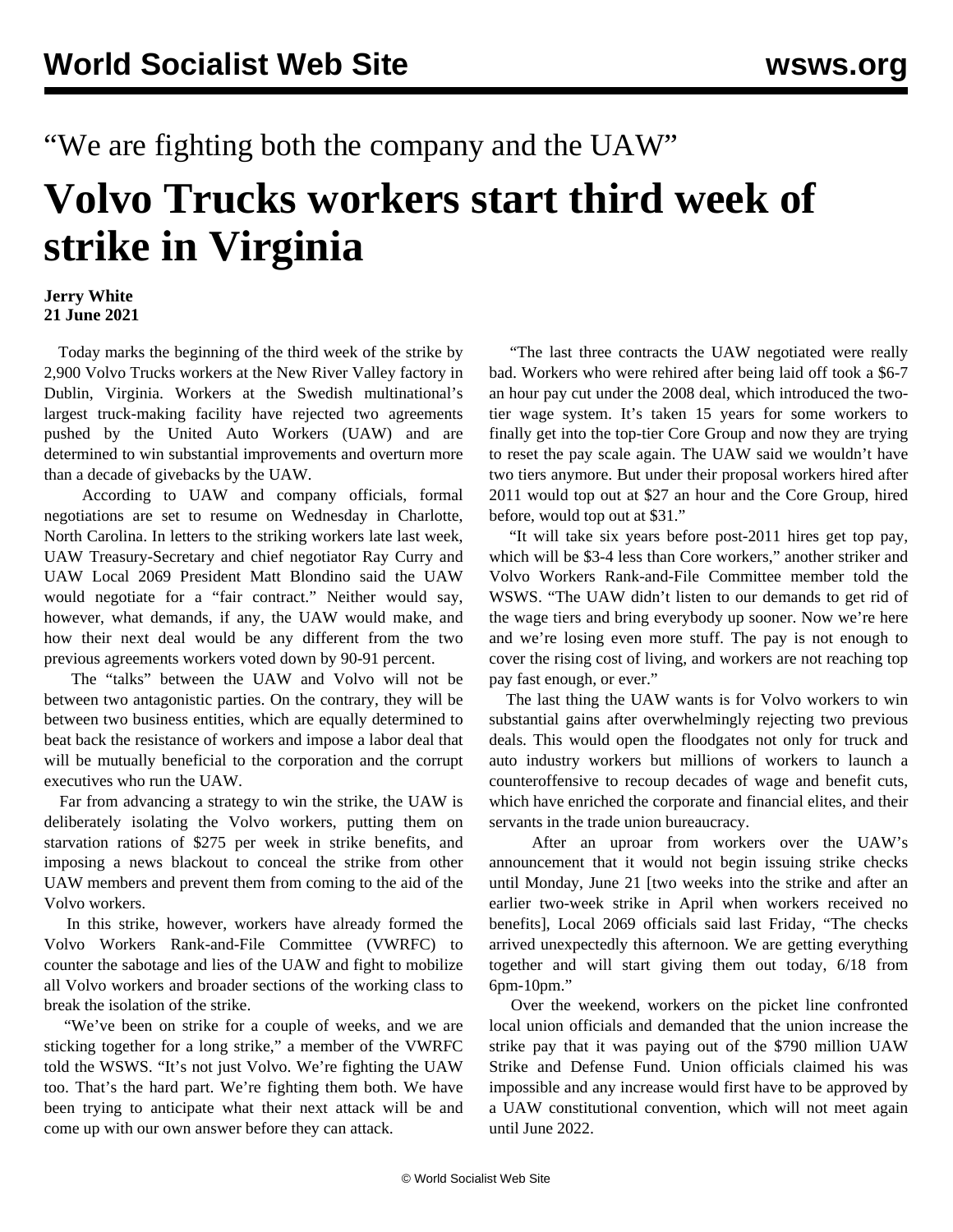"We are fighting both the company and the UAW"

## **Volvo Trucks workers start third week of strike in Virginia**

## **Jerry White 21 June 2021**

 Today marks the beginning of the third week of the strike by 2,900 Volvo Trucks workers at the New River Valley factory in Dublin, Virginia. Workers at the Swedish multinational's largest truck-making facility have rejected two agreements pushed by the United Auto Workers (UAW) and are determined to win substantial improvements and overturn more than a decade of givebacks by the UAW.

 According to UAW and company officials, formal negotiations are set to resume on Wednesday in Charlotte, North Carolina. In letters to the striking workers late last week, UAW Treasury-Secretary and chief negotiator Ray Curry and UAW Local 2069 President Matt Blondino said the UAW would negotiate for a "fair contract." Neither would say, however, what demands, if any, the UAW would make, and how their next deal would be any different from the two previous agreements workers voted down by 90-91 percent.

 The "talks" between the UAW and Volvo will not be between two antagonistic parties. On the contrary, they will be between two business entities, which are equally determined to beat back the resistance of workers and impose a labor deal that will be mutually beneficial to the corporation and the corrupt executives who run the UAW.

 Far from advancing a strategy to win the strike, the UAW is deliberately isolating the Volvo workers, putting them on starvation rations of \$275 per week in strike benefits, and imposing a news blackout to conceal the strike from other UAW members and prevent them from coming to the aid of the Volvo workers.

 In this strike, however, workers have already formed the Volvo Workers Rank-and-File Committee (VWRFC) to counter the sabotage and lies of the UAW and fight to mobilize all Volvo workers and broader sections of the working class to break the isolation of the strike.

 "We've been on strike for a couple of weeks, and we are sticking together for a long strike," a member of the VWRFC told the WSWS. "It's not just Volvo. We're fighting the UAW too. That's the hard part. We're fighting them both. We have been trying to anticipate what their next attack will be and come up with our own answer before they can attack.

 "The last three contracts the UAW negotiated were really bad. Workers who were rehired after being laid off took a \$6-7 an hour pay cut under the 2008 deal, which introduced the twotier wage system. It's taken 15 years for some workers to finally get into the top-tier Core Group and now they are trying to reset the pay scale again. The UAW said we wouldn't have two tiers anymore. But under their proposal workers hired after 2011 would top out at \$27 an hour and the Core Group, hired before, would top out at \$31."

 "It will take six years before post-2011 hires get top pay, which will be \$3-4 less than Core workers," another striker and Volvo Workers Rank-and-File Committee member told the WSWS. "The UAW didn't listen to our demands to get rid of the wage tiers and bring everybody up sooner. Now we're here and we're losing even more stuff. The pay is not enough to cover the rising cost of living, and workers are not reaching top pay fast enough, or ever."

 The last thing the UAW wants is for Volvo workers to win substantial gains after overwhelmingly rejecting two previous deals. This would open the floodgates not only for truck and auto industry workers but millions of workers to launch a counteroffensive to recoup decades of wage and benefit cuts, which have enriched the corporate and financial elites, and their servants in the trade union bureaucracy.

 After an uproar from workers over the UAW's announcement that it would not begin issuing strike checks until Monday, June 21 [two weeks into the strike and after an earlier two-week strike in April when workers received no benefits], Local 2069 officials said last Friday, "The checks arrived unexpectedly this afternoon. We are getting everything together and will start giving them out today, 6/18 from 6pm-10pm."

 Over the weekend, workers on the picket line confronted local union officials and demanded that the union increase the strike pay that it was paying out of the \$790 million UAW Strike and Defense Fund. Union officials claimed his was impossible and any increase would first have to be approved by a UAW constitutional convention, which will not meet again until June 2022.